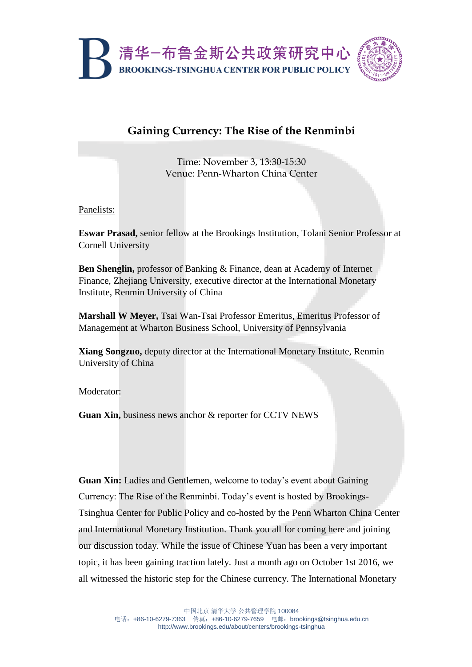

## **Gaining Currency: The Rise of the Renminbi**

Time: November 3, 13:30-15:30 Venue: Penn-Wharton China Center

Panelists:

**Eswar Prasad,** senior fellow at the Brookings Institution, Tolani Senior Professor at Cornell University

**Ben Shenglin,** professor of Banking & Finance, dean at Academy of Internet Finance, Zhejiang University, executive director at the International Monetary Institute, Renmin University of China

**Marshall W Meyer,** Tsai Wan-Tsai Professor Emeritus, Emeritus Professor of Management at Wharton Business School, University of Pennsylvania

**Xiang Songzuo,** deputy director at the International Monetary Institute, Renmin University of China

Moderator:

**Guan Xin,** business news anchor & reporter for CCTV NEWS

**Guan Xin:** Ladies and Gentlemen, welcome to today's event about Gaining Currency: The Rise of the Renminbi. Today's event is hosted by Brookings-Tsinghua Center for Public Policy and co-hosted by the Penn Wharton China Center and International Monetary Institution. Thank you all for coming here and joining our discussion today. While the issue of Chinese Yuan has been a very important topic, it has been gaining traction lately. Just a month ago on October 1st 2016, we all witnessed the historic step for the Chinese currency. The International Monetary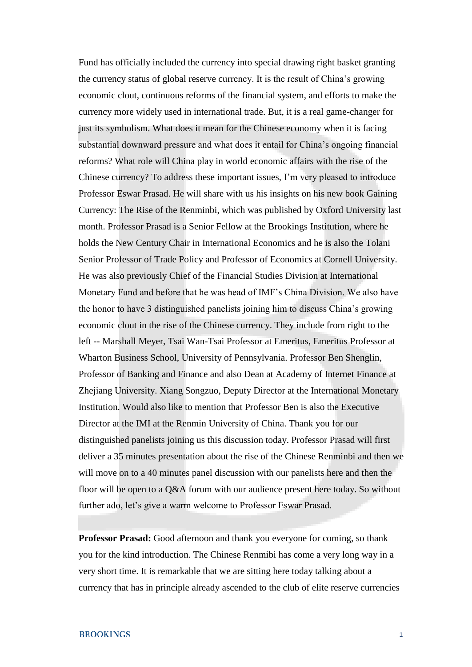Fund has officially included the currency into special drawing right basket granting the currency status of global reserve currency. It is the result of China's growing economic clout, continuous reforms of the financial system, and efforts to make the currency more widely used in international trade. But, it is a real game-changer for just its symbolism. What does it mean for the Chinese economy when it is facing substantial downward pressure and what does it entail for China's ongoing financial reforms? What role will China play in world economic affairs with the rise of the Chinese currency? To address these important issues, I'm very pleased to introduce Professor Eswar Prasad. He will share with us his insights on his new book Gaining Currency: The Rise of the Renminbi, which was published by Oxford University last month. Professor Prasad is a Senior Fellow at the Brookings Institution, where he holds the New Century Chair in International Economics and he is also the Tolani Senior Professor of Trade Policy and Professor of Economics at Cornell University. He was also previously Chief of the Financial Studies Division at International Monetary Fund and before that he was head of IMF's China Division. We also have the honor to have 3 distinguished panelists joining him to discuss China's growing economic clout in the rise of the Chinese currency. They include from right to the left -- Marshall Meyer, Tsai Wan-Tsai Professor at Emeritus, Emeritus Professor at Wharton Business School, University of Pennsylvania. Professor Ben Shenglin, Professor of Banking and Finance and also Dean at Academy of Internet Finance at Zhejiang University. Xiang Songzuo, Deputy Director at the International Monetary Institution. Would also like to mention that Professor Ben is also the Executive Director at the IMI at the Renmin University of China. Thank you for our distinguished panelists joining us this discussion today. Professor Prasad will first deliver a 35 minutes presentation about the rise of the Chinese Renminbi and then we will move on to a 40 minutes panel discussion with our panelists here and then the floor will be open to a Q&A forum with our audience present here today. So without further ado, let's give a warm welcome to Professor Eswar Prasad.

**Professor Prasad:** Good afternoon and thank you everyone for coming, so thank you for the kind introduction. The Chinese Renmibi has come a very long way in a very short time. It is remarkable that we are sitting here today talking about a currency that has in principle already ascended to the club of elite reserve currencies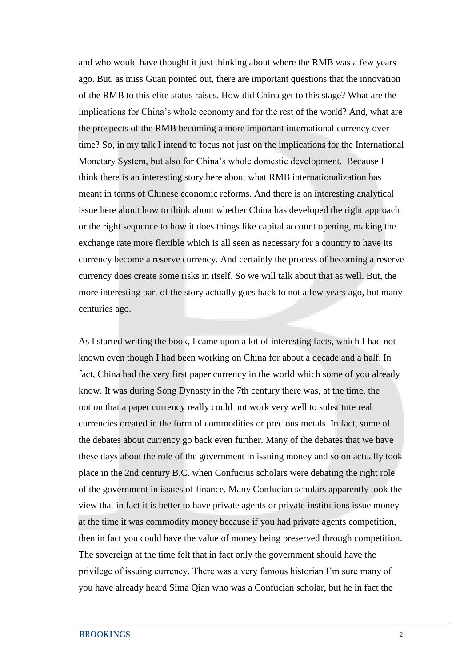and who would have thought it just thinking about where the RMB was a few years ago. But, as miss Guan pointed out, there are important questions that the innovation of the RMB to this elite status raises. How did China get to this stage? What are the implications for China's whole economy and for the rest of the world? And, what are the prospects of the RMB becoming a more important international currency over time? So, in my talk I intend to focus not just on the implications for the International Monetary System, but also for China's whole domestic development. Because I think there is an interesting story here about what RMB internationalization has meant in terms of Chinese economic reforms. And there is an interesting analytical issue here about how to think about whether China has developed the right approach or the right sequence to how it does things like capital account opening, making the exchange rate more flexible which is all seen as necessary for a country to have its currency become a reserve currency. And certainly the process of becoming a reserve currency does create some risks in itself. So we will talk about that as well. But, the more interesting part of the story actually goes back to not a few years ago, but many centuries ago.

As I started writing the book, I came upon a lot of interesting facts, which I had not known even though I had been working on China for about a decade and a half. In fact, China had the very first paper currency in the world which some of you already know. It was during Song Dynasty in the 7th century there was, at the time, the notion that a paper currency really could not work very well to substitute real currencies created in the form of commodities or precious metals. In fact, some of the debates about currency go back even further. Many of the debates that we have these days about the role of the government in issuing money and so on actually took place in the 2nd century B.C. when Confucius scholars were debating the right role of the government in issues of finance. Many Confucian scholars apparently took the view that in fact it is better to have private agents or private institutions issue money at the time it was commodity money because if you had private agents competition, then in fact you could have the value of money being preserved through competition. The sovereign at the time felt that in fact only the government should have the privilege of issuing currency. There was a very famous historian I'm sure many of you have already heard Sima Qian who was a Confucian scholar, but he in fact the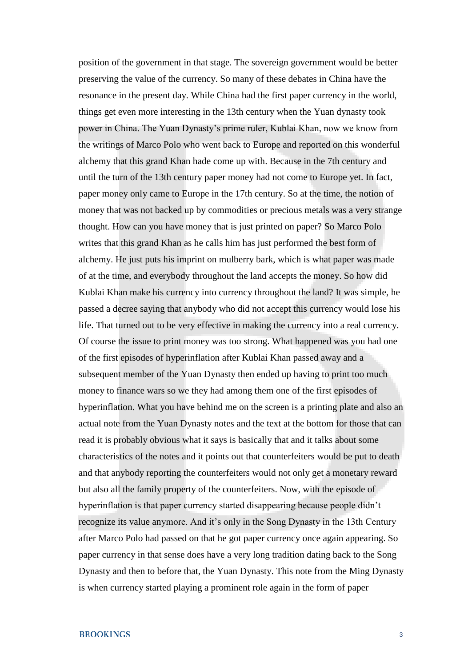position of the government in that stage. The sovereign government would be better preserving the value of the currency. So many of these debates in China have the resonance in the present day. While China had the first paper currency in the world, things get even more interesting in the 13th century when the Yuan dynasty took power in China. The Yuan Dynasty's prime ruler, Kublai Khan, now we know from the writings of Marco Polo who went back to Europe and reported on this wonderful alchemy that this grand Khan hade come up with. Because in the 7th century and until the turn of the 13th century paper money had not come to Europe yet. In fact, paper money only came to Europe in the 17th century. So at the time, the notion of money that was not backed up by commodities or precious metals was a very strange thought. How can you have money that is just printed on paper? So Marco Polo writes that this grand Khan as he calls him has just performed the best form of alchemy. He just puts his imprint on mulberry bark, which is what paper was made of at the time, and everybody throughout the land accepts the money. So how did Kublai Khan make his currency into currency throughout the land? It was simple, he passed a decree saying that anybody who did not accept this currency would lose his life. That turned out to be very effective in making the currency into a real currency. Of course the issue to print money was too strong. What happened was you had one of the first episodes of hyperinflation after Kublai Khan passed away and a subsequent member of the Yuan Dynasty then ended up having to print too much money to finance wars so we they had among them one of the first episodes of hyperinflation. What you have behind me on the screen is a printing plate and also an actual note from the Yuan Dynasty notes and the text at the bottom for those that can read it is probably obvious what it says is basically that and it talks about some characteristics of the notes and it points out that counterfeiters would be put to death and that anybody reporting the counterfeiters would not only get a monetary reward but also all the family property of the counterfeiters. Now, with the episode of hyperinflation is that paper currency started disappearing because people didn't recognize its value anymore. And it's only in the Song Dynasty in the 13th Century after Marco Polo had passed on that he got paper currency once again appearing. So paper currency in that sense does have a very long tradition dating back to the Song Dynasty and then to before that, the Yuan Dynasty. This note from the Ming Dynasty is when currency started playing a prominent role again in the form of paper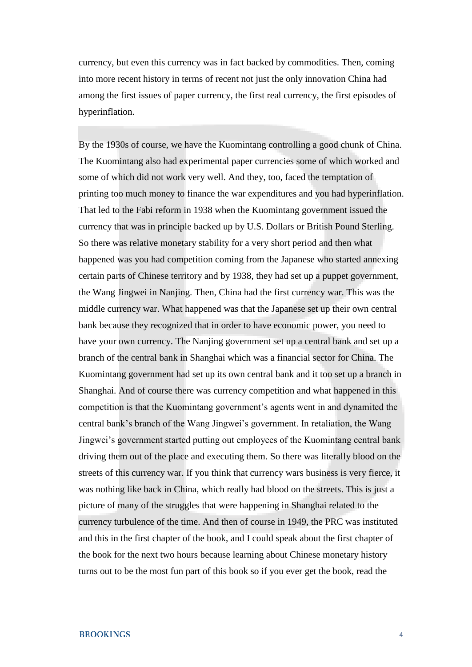currency, but even this currency was in fact backed by commodities. Then, coming into more recent history in terms of recent not just the only innovation China had among the first issues of paper currency, the first real currency, the first episodes of hyperinflation.

By the 1930s of course, we have the Kuomintang controlling a good chunk of China. The Kuomintang also had experimental paper currencies some of which worked and some of which did not work very well. And they, too, faced the temptation of printing too much money to finance the war expenditures and you had hyperinflation. That led to the Fabi reform in 1938 when the Kuomintang government issued the currency that was in principle backed up by U.S. Dollars or British Pound Sterling. So there was relative monetary stability for a very short period and then what happened was you had competition coming from the Japanese who started annexing certain parts of Chinese territory and by 1938, they had set up a puppet government, the Wang Jingwei in Nanjing. Then, China had the first currency war. This was the middle currency war. What happened was that the Japanese set up their own central bank because they recognized that in order to have economic power, you need to have your own currency. The Nanjing government set up a central bank and set up a branch of the central bank in Shanghai which was a financial sector for China. The Kuomintang government had set up its own central bank and it too set up a branch in Shanghai. And of course there was currency competition and what happened in this competition is that the Kuomintang government's agents went in and dynamited the central bank's branch of the Wang Jingwei's government. In retaliation, the Wang Jingwei's government started putting out employees of the Kuomintang central bank driving them out of the place and executing them. So there was literally blood on the streets of this currency war. If you think that currency wars business is very fierce, it was nothing like back in China, which really had blood on the streets. This is just a picture of many of the struggles that were happening in Shanghai related to the currency turbulence of the time. And then of course in 1949, the PRC was instituted and this in the first chapter of the book, and I could speak about the first chapter of the book for the next two hours because learning about Chinese monetary history turns out to be the most fun part of this book so if you ever get the book, read the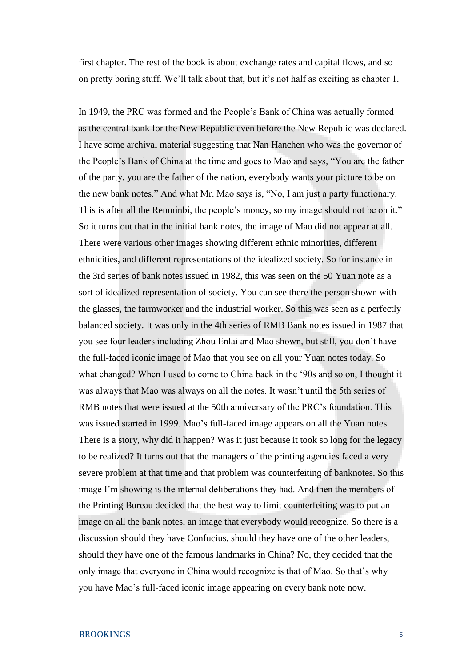first chapter. The rest of the book is about exchange rates and capital flows, and so on pretty boring stuff. We'll talk about that, but it's not half as exciting as chapter 1.

In 1949, the PRC was formed and the People's Bank of China was actually formed as the central bank for the New Republic even before the New Republic was declared. I have some archival material suggesting that Nan Hanchen who was the governor of the People's Bank of China at the time and goes to Mao and says, "You are the father of the party, you are the father of the nation, everybody wants your picture to be on the new bank notes." And what Mr. Mao says is, "No, I am just a party functionary. This is after all the Renminbi, the people's money, so my image should not be on it." So it turns out that in the initial bank notes, the image of Mao did not appear at all. There were various other images showing different ethnic minorities, different ethnicities, and different representations of the idealized society. So for instance in the 3rd series of bank notes issued in 1982, this was seen on the 50 Yuan note as a sort of idealized representation of society. You can see there the person shown with the glasses, the farmworker and the industrial worker. So this was seen as a perfectly balanced society. It was only in the 4th series of RMB Bank notes issued in 1987 that you see four leaders including Zhou Enlai and Mao shown, but still, you don't have the full-faced iconic image of Mao that you see on all your Yuan notes today. So what changed? When I used to come to China back in the '90s and so on, I thought it was always that Mao was always on all the notes. It wasn't until the 5th series of RMB notes that were issued at the 50th anniversary of the PRC's foundation. This was issued started in 1999. Mao's full-faced image appears on all the Yuan notes. There is a story, why did it happen? Was it just because it took so long for the legacy to be realized? It turns out that the managers of the printing agencies faced a very severe problem at that time and that problem was counterfeiting of banknotes. So this image I'm showing is the internal deliberations they had. And then the members of the Printing Bureau decided that the best way to limit counterfeiting was to put an image on all the bank notes, an image that everybody would recognize. So there is a discussion should they have Confucius, should they have one of the other leaders, should they have one of the famous landmarks in China? No, they decided that the only image that everyone in China would recognize is that of Mao. So that's why you have Mao's full-faced iconic image appearing on every bank note now.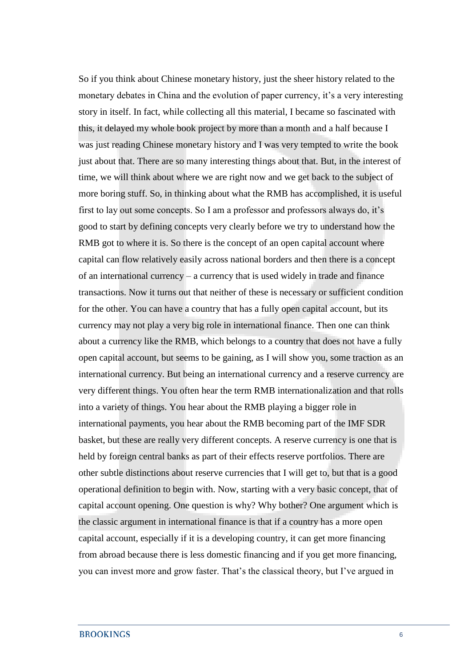So if you think about Chinese monetary history, just the sheer history related to the monetary debates in China and the evolution of paper currency, it's a very interesting story in itself. In fact, while collecting all this material, I became so fascinated with this, it delayed my whole book project by more than a month and a half because I was just reading Chinese monetary history and I was very tempted to write the book just about that. There are so many interesting things about that. But, in the interest of time, we will think about where we are right now and we get back to the subject of more boring stuff. So, in thinking about what the RMB has accomplished, it is useful first to lay out some concepts. So I am a professor and professors always do, it's good to start by defining concepts very clearly before we try to understand how the RMB got to where it is. So there is the concept of an open capital account where capital can flow relatively easily across national borders and then there is a concept of an international currency – a currency that is used widely in trade and finance transactions. Now it turns out that neither of these is necessary or sufficient condition for the other. You can have a country that has a fully open capital account, but its currency may not play a very big role in international finance. Then one can think about a currency like the RMB, which belongs to a country that does not have a fully open capital account, but seems to be gaining, as I will show you, some traction as an international currency. But being an international currency and a reserve currency are very different things. You often hear the term RMB internationalization and that rolls into a variety of things. You hear about the RMB playing a bigger role in international payments, you hear about the RMB becoming part of the IMF SDR basket, but these are really very different concepts. A reserve currency is one that is held by foreign central banks as part of their effects reserve portfolios. There are other subtle distinctions about reserve currencies that I will get to, but that is a good operational definition to begin with. Now, starting with a very basic concept, that of capital account opening. One question is why? Why bother? One argument which is the classic argument in international finance is that if a country has a more open capital account, especially if it is a developing country, it can get more financing from abroad because there is less domestic financing and if you get more financing, you can invest more and grow faster. That's the classical theory, but I've argued in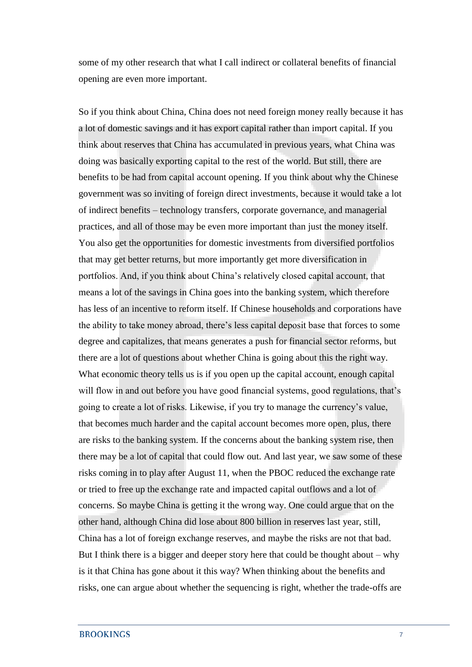some of my other research that what I call indirect or collateral benefits of financial opening are even more important.

So if you think about China, China does not need foreign money really because it has a lot of domestic savings and it has export capital rather than import capital. If you think about reserves that China has accumulated in previous years, what China was doing was basically exporting capital to the rest of the world. But still, there are benefits to be had from capital account opening. If you think about why the Chinese government was so inviting of foreign direct investments, because it would take a lot of indirect benefits – technology transfers, corporate governance, and managerial practices, and all of those may be even more important than just the money itself. You also get the opportunities for domestic investments from diversified portfolios that may get better returns, but more importantly get more diversification in portfolios. And, if you think about China's relatively closed capital account, that means a lot of the savings in China goes into the banking system, which therefore has less of an incentive to reform itself. If Chinese households and corporations have the ability to take money abroad, there's less capital deposit base that forces to some degree and capitalizes, that means generates a push for financial sector reforms, but there are a lot of questions about whether China is going about this the right way. What economic theory tells us is if you open up the capital account, enough capital will flow in and out before you have good financial systems, good regulations, that's going to create a lot of risks. Likewise, if you try to manage the currency's value, that becomes much harder and the capital account becomes more open, plus, there are risks to the banking system. If the concerns about the banking system rise, then there may be a lot of capital that could flow out. And last year, we saw some of these risks coming in to play after August 11, when the PBOC reduced the exchange rate or tried to free up the exchange rate and impacted capital outflows and a lot of concerns. So maybe China is getting it the wrong way. One could argue that on the other hand, although China did lose about 800 billion in reserves last year, still, China has a lot of foreign exchange reserves, and maybe the risks are not that bad. But I think there is a bigger and deeper story here that could be thought about  $-$  why is it that China has gone about it this way? When thinking about the benefits and risks, one can argue about whether the sequencing is right, whether the trade-offs are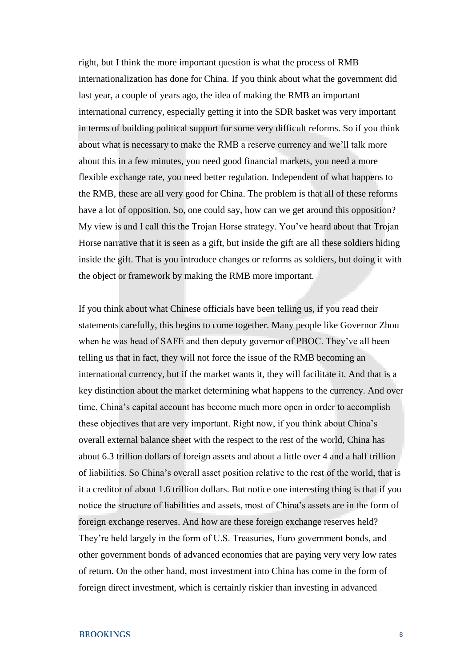right, but I think the more important question is what the process of RMB internationalization has done for China. If you think about what the government did last year, a couple of years ago, the idea of making the RMB an important international currency, especially getting it into the SDR basket was very important in terms of building political support for some very difficult reforms. So if you think about what is necessary to make the RMB a reserve currency and we'll talk more about this in a few minutes, you need good financial markets, you need a more flexible exchange rate, you need better regulation. Independent of what happens to the RMB, these are all very good for China. The problem is that all of these reforms have a lot of opposition. So, one could say, how can we get around this opposition? My view is and I call this the Trojan Horse strategy. You've heard about that Trojan Horse narrative that it is seen as a gift, but inside the gift are all these soldiers hiding inside the gift. That is you introduce changes or reforms as soldiers, but doing it with the object or framework by making the RMB more important.

If you think about what Chinese officials have been telling us, if you read their statements carefully, this begins to come together. Many people like Governor Zhou when he was head of SAFE and then deputy governor of PBOC. They've all been telling us that in fact, they will not force the issue of the RMB becoming an international currency, but if the market wants it, they will facilitate it. And that is a key distinction about the market determining what happens to the currency. And over time, China's capital account has become much more open in order to accomplish these objectives that are very important. Right now, if you think about China's overall external balance sheet with the respect to the rest of the world, China has about 6.3 trillion dollars of foreign assets and about a little over 4 and a half trillion of liabilities. So China's overall asset position relative to the rest of the world, that is it a creditor of about 1.6 trillion dollars. But notice one interesting thing is that if you notice the structure of liabilities and assets, most of China's assets are in the form of foreign exchange reserves. And how are these foreign exchange reserves held? They're held largely in the form of U.S. Treasuries, Euro government bonds, and other government bonds of advanced economies that are paying very very low rates of return. On the other hand, most investment into China has come in the form of foreign direct investment, which is certainly riskier than investing in advanced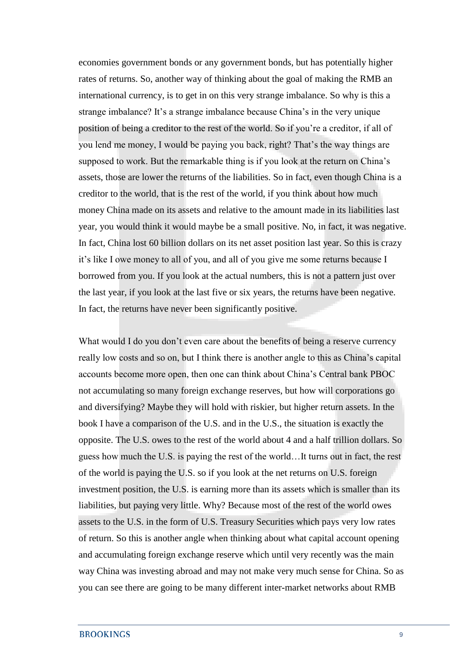economies government bonds or any government bonds, but has potentially higher rates of returns. So, another way of thinking about the goal of making the RMB an international currency, is to get in on this very strange imbalance. So why is this a strange imbalance? It's a strange imbalance because China's in the very unique position of being a creditor to the rest of the world. So if you're a creditor, if all of you lend me money, I would be paying you back, right? That's the way things are supposed to work. But the remarkable thing is if you look at the return on China's assets, those are lower the returns of the liabilities. So in fact, even though China is a creditor to the world, that is the rest of the world, if you think about how much money China made on its assets and relative to the amount made in its liabilities last year, you would think it would maybe be a small positive. No, in fact, it was negative. In fact, China lost 60 billion dollars on its net asset position last year. So this is crazy it's like I owe money to all of you, and all of you give me some returns because I borrowed from you. If you look at the actual numbers, this is not a pattern just over the last year, if you look at the last five or six years, the returns have been negative. In fact, the returns have never been significantly positive.

What would I do you don't even care about the benefits of being a reserve currency really low costs and so on, but I think there is another angle to this as China's capital accounts become more open, then one can think about China's Central bank PBOC not accumulating so many foreign exchange reserves, but how will corporations go and diversifying? Maybe they will hold with riskier, but higher return assets. In the book I have a comparison of the U.S. and in the U.S., the situation is exactly the opposite. The U.S. owes to the rest of the world about 4 and a half trillion dollars. So guess how much the U.S. is paying the rest of the world…It turns out in fact, the rest of the world is paying the U.S. so if you look at the net returns on U.S. foreign investment position, the U.S. is earning more than its assets which is smaller than its liabilities, but paying very little. Why? Because most of the rest of the world owes assets to the U.S. in the form of U.S. Treasury Securities which pays very low rates of return. So this is another angle when thinking about what capital account opening and accumulating foreign exchange reserve which until very recently was the main way China was investing abroad and may not make very much sense for China. So as you can see there are going to be many different inter-market networks about RMB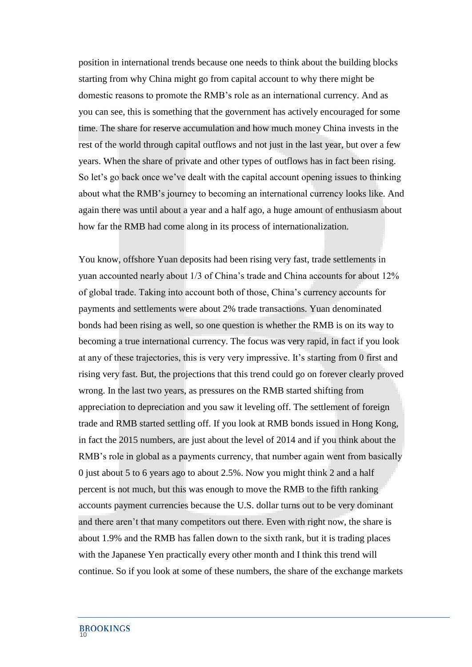position in international trends because one needs to think about the building blocks starting from why China might go from capital account to why there might be domestic reasons to promote the RMB's role as an international currency. And as you can see, this is something that the government has actively encouraged for some time. The share for reserve accumulation and how much money China invests in the rest of the world through capital outflows and not just in the last year, but over a few years. When the share of private and other types of outflows has in fact been rising. So let's go back once we've dealt with the capital account opening issues to thinking about what the RMB's journey to becoming an international currency looks like. And again there was until about a year and a half ago, a huge amount of enthusiasm about how far the RMB had come along in its process of internationalization.

You know, offshore Yuan deposits had been rising very fast, trade settlements in yuan accounted nearly about 1/3 of China's trade and China accounts for about 12% of global trade. Taking into account both of those, China's currency accounts for payments and settlements were about 2% trade transactions. Yuan denominated bonds had been rising as well, so one question is whether the RMB is on its way to becoming a true international currency. The focus was very rapid, in fact if you look at any of these trajectories, this is very very impressive. It's starting from 0 first and rising very fast. But, the projections that this trend could go on forever clearly proved wrong. In the last two years, as pressures on the RMB started shifting from appreciation to depreciation and you saw it leveling off. The settlement of foreign trade and RMB started settling off. If you look at RMB bonds issued in Hong Kong, in fact the 2015 numbers, are just about the level of 2014 and if you think about the RMB's role in global as a payments currency, that number again went from basically 0 just about 5 to 6 years ago to about 2.5%. Now you might think 2 and a half percent is not much, but this was enough to move the RMB to the fifth ranking accounts payment currencies because the U.S. dollar turns out to be very dominant and there aren't that many competitors out there. Even with right now, the share is about 1.9% and the RMB has fallen down to the sixth rank, but it is trading places with the Japanese Yen practically every other month and I think this trend will continue. So if you look at some of these numbers, the share of the exchange markets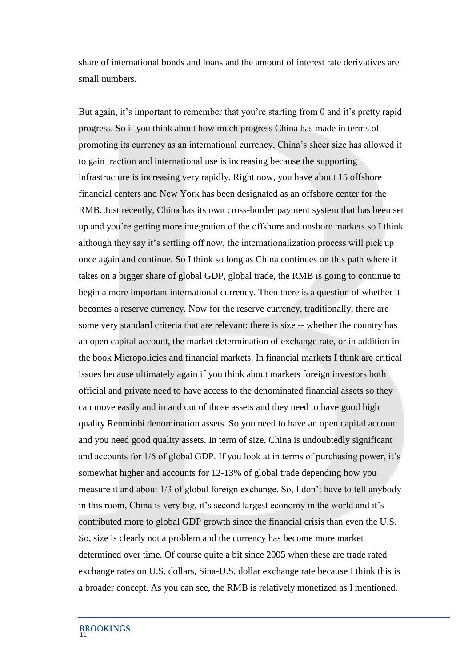share of international bonds and loans and the amount of interest rate derivatives are small numbers.

But again, it's important to remember that you're starting from 0 and it's pretty rapid progress. So if you think about how much progress China has made in terms of promoting its currency as an international currency, China's sheer size has allowed it to gain traction and international use is increasing because the supporting infrastructure is increasing very rapidly. Right now, you have about 15 offshore financial centers and New York has been designated as an offshore center for the RMB. Just recently, China has its own cross-border payment system that has been set up and you're getting more integration of the offshore and onshore markets so I think although they say it's settling off now, the internationalization process will pick up once again and continue. So I think so long as China continues on this path where it takes on a bigger share of global GDP, global trade, the RMB is going to continue to begin a more important international currency. Then there is a question of whether it becomes a reserve currency. Now for the reserve currency, traditionally, there are some very standard criteria that are relevant: there is size -- whether the country has an open capital account, the market determination of exchange rate, or in addition in the book Micropolicies and financial markets. In financial markets I think are critical issues because ultimately again if you think about markets foreign investors both official and private need to have access to the denominated financial assets so they can move easily and in and out of those assets and they need to have good high quality Renminbi denomination assets. So you need to have an open capital account and you need good quality assets. In term of size, China is undoubtedly significant and accounts for 1/6 of global GDP. If you look at in terms of purchasing power, it's somewhat higher and accounts for 12-13% of global trade depending how you measure it and about 1/3 of global foreign exchange. So, I don't have to tell anybody in this room, China is very big, it's second largest economy in the world and it's contributed more to global GDP growth since the financial crisis than even the U.S. So, size is clearly not a problem and the currency has become more market determined over time. Of course quite a bit since 2005 when these are trade rated exchange rates on U.S. dollars, Sina-U.S. dollar exchange rate because I think this is a broader concept. As you can see, the RMB is relatively monetized as I mentioned.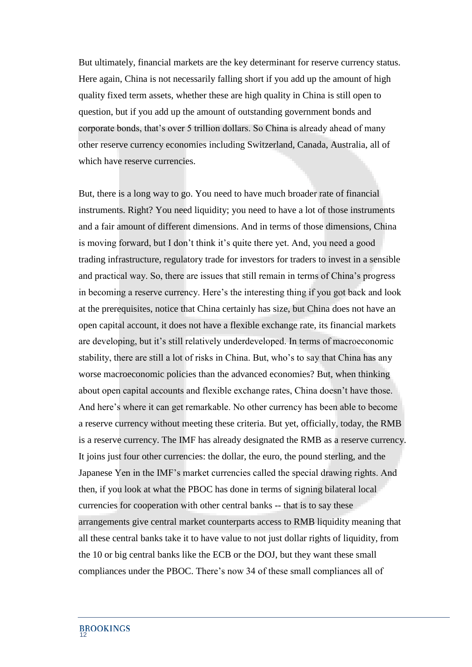But ultimately, financial markets are the key determinant for reserve currency status. Here again, China is not necessarily falling short if you add up the amount of high quality fixed term assets, whether these are high quality in China is still open to question, but if you add up the amount of outstanding government bonds and corporate bonds, that's over 5 trillion dollars. So China is already ahead of many other reserve currency economies including Switzerland, Canada, Australia, all of which have reserve currencies.

But, there is a long way to go. You need to have much broader rate of financial instruments. Right? You need liquidity; you need to have a lot of those instruments and a fair amount of different dimensions. And in terms of those dimensions, China is moving forward, but I don't think it's quite there yet. And, you need a good trading infrastructure, regulatory trade for investors for traders to invest in a sensible and practical way. So, there are issues that still remain in terms of China's progress in becoming a reserve currency. Here's the interesting thing if you got back and look at the prerequisites, notice that China certainly has size, but China does not have an open capital account, it does not have a flexible exchange rate, its financial markets are developing, but it's still relatively underdeveloped. In terms of macroeconomic stability, there are still a lot of risks in China. But, who's to say that China has any worse macroeconomic policies than the advanced economies? But, when thinking about open capital accounts and flexible exchange rates, China doesn't have those. And here's where it can get remarkable. No other currency has been able to become a reserve currency without meeting these criteria. But yet, officially, today, the RMB is a reserve currency. The IMF has already designated the RMB as a reserve currency. It joins just four other currencies: the dollar, the euro, the pound sterling, and the Japanese Yen in the IMF's market currencies called the special drawing rights. And then, if you look at what the PBOC has done in terms of signing bilateral local currencies for cooperation with other central banks -- that is to say these arrangements give central market counterparts access to RMB liquidity meaning that all these central banks take it to have value to not just dollar rights of liquidity, from the 10 or big central banks like the ECB or the DOJ, but they want these small compliances under the PBOC. There's now 34 of these small compliances all of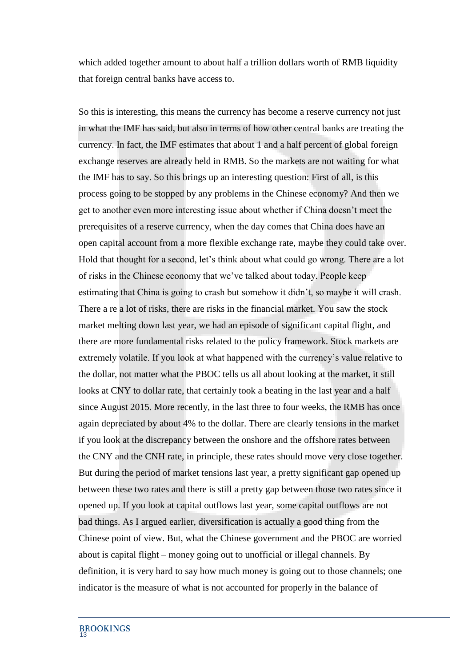which added together amount to about half a trillion dollars worth of RMB liquidity that foreign central banks have access to.

So this is interesting, this means the currency has become a reserve currency not just in what the IMF has said, but also in terms of how other central banks are treating the currency. In fact, the IMF estimates that about 1 and a half percent of global foreign exchange reserves are already held in RMB. So the markets are not waiting for what the IMF has to say. So this brings up an interesting question: First of all, is this process going to be stopped by any problems in the Chinese economy? And then we get to another even more interesting issue about whether if China doesn't meet the prerequisites of a reserve currency, when the day comes that China does have an open capital account from a more flexible exchange rate, maybe they could take over. Hold that thought for a second, let's think about what could go wrong. There are a lot of risks in the Chinese economy that we've talked about today. People keep estimating that China is going to crash but somehow it didn't, so maybe it will crash. There a re a lot of risks, there are risks in the financial market. You saw the stock market melting down last year, we had an episode of significant capital flight, and there are more fundamental risks related to the policy framework. Stock markets are extremely volatile. If you look at what happened with the currency's value relative to the dollar, not matter what the PBOC tells us all about looking at the market, it still looks at CNY to dollar rate, that certainly took a beating in the last year and a half since August 2015. More recently, in the last three to four weeks, the RMB has once again depreciated by about 4% to the dollar. There are clearly tensions in the market if you look at the discrepancy between the onshore and the offshore rates between the CNY and the CNH rate, in principle, these rates should move very close together. But during the period of market tensions last year, a pretty significant gap opened up between these two rates and there is still a pretty gap between those two rates since it opened up. If you look at capital outflows last year, some capital outflows are not bad things. As I argued earlier, diversification is actually a good thing from the Chinese point of view. But, what the Chinese government and the PBOC are worried about is capital flight – money going out to unofficial or illegal channels. By definition, it is very hard to say how much money is going out to those channels; one indicator is the measure of what is not accounted for properly in the balance of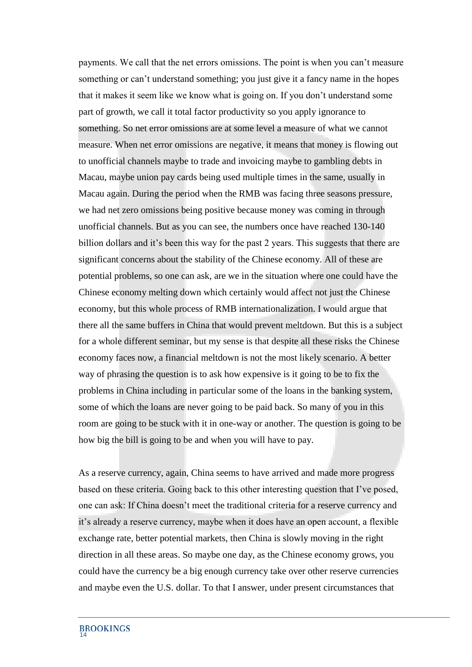payments. We call that the net errors omissions. The point is when you can't measure something or can't understand something; you just give it a fancy name in the hopes that it makes it seem like we know what is going on. If you don't understand some part of growth, we call it total factor productivity so you apply ignorance to something. So net error omissions are at some level a measure of what we cannot measure. When net error omissions are negative, it means that money is flowing out to unofficial channels maybe to trade and invoicing maybe to gambling debts in Macau, maybe union pay cards being used multiple times in the same, usually in Macau again. During the period when the RMB was facing three seasons pressure, we had net zero omissions being positive because money was coming in through unofficial channels. But as you can see, the numbers once have reached 130-140 billion dollars and it's been this way for the past 2 years. This suggests that there are significant concerns about the stability of the Chinese economy. All of these are potential problems, so one can ask, are we in the situation where one could have the Chinese economy melting down which certainly would affect not just the Chinese economy, but this whole process of RMB internationalization. I would argue that there all the same buffers in China that would prevent meltdown. But this is a subject for a whole different seminar, but my sense is that despite all these risks the Chinese economy faces now, a financial meltdown is not the most likely scenario. A better way of phrasing the question is to ask how expensive is it going to be to fix the problems in China including in particular some of the loans in the banking system, some of which the loans are never going to be paid back. So many of you in this room are going to be stuck with it in one-way or another. The question is going to be how big the bill is going to be and when you will have to pay.

As a reserve currency, again, China seems to have arrived and made more progress based on these criteria. Going back to this other interesting question that I've posed, one can ask: If China doesn't meet the traditional criteria for a reserve currency and it's already a reserve currency, maybe when it does have an open account, a flexible exchange rate, better potential markets, then China is slowly moving in the right direction in all these areas. So maybe one day, as the Chinese economy grows, you could have the currency be a big enough currency take over other reserve currencies and maybe even the U.S. dollar. To that I answer, under present circumstances that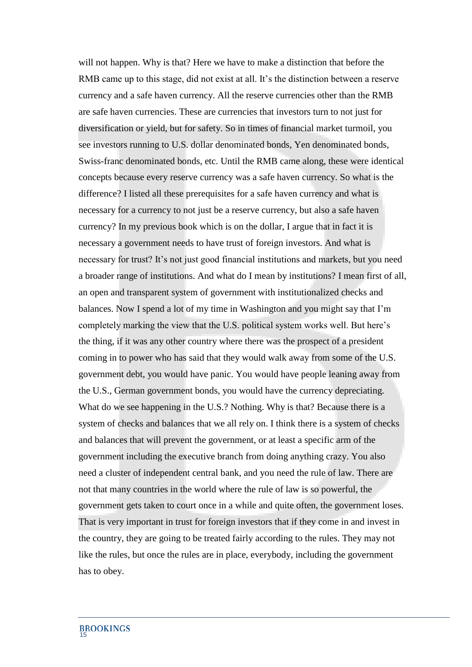will not happen. Why is that? Here we have to make a distinction that before the RMB came up to this stage, did not exist at all. It's the distinction between a reserve currency and a safe haven currency. All the reserve currencies other than the RMB are safe haven currencies. These are currencies that investors turn to not just for diversification or yield, but for safety. So in times of financial market turmoil, you see investors running to U.S. dollar denominated bonds, Yen denominated bonds, Swiss-franc denominated bonds, etc. Until the RMB came along, these were identical concepts because every reserve currency was a safe haven currency. So what is the difference? I listed all these prerequisites for a safe haven currency and what is necessary for a currency to not just be a reserve currency, but also a safe haven currency? In my previous book which is on the dollar, I argue that in fact it is necessary a government needs to have trust of foreign investors. And what is necessary for trust? It's not just good financial institutions and markets, but you need a broader range of institutions. And what do I mean by institutions? I mean first of all, an open and transparent system of government with institutionalized checks and balances. Now I spend a lot of my time in Washington and you might say that I'm completely marking the view that the U.S. political system works well. But here's the thing, if it was any other country where there was the prospect of a president coming in to power who has said that they would walk away from some of the U.S. government debt, you would have panic. You would have people leaning away from the U.S., German government bonds, you would have the currency depreciating. What do we see happening in the U.S.? Nothing. Why is that? Because there is a system of checks and balances that we all rely on. I think there is a system of checks and balances that will prevent the government, or at least a specific arm of the government including the executive branch from doing anything crazy. You also need a cluster of independent central bank, and you need the rule of law. There are not that many countries in the world where the rule of law is so powerful, the government gets taken to court once in a while and quite often, the government loses. That is very important in trust for foreign investors that if they come in and invest in the country, they are going to be treated fairly according to the rules. They may not like the rules, but once the rules are in place, everybody, including the government has to obey.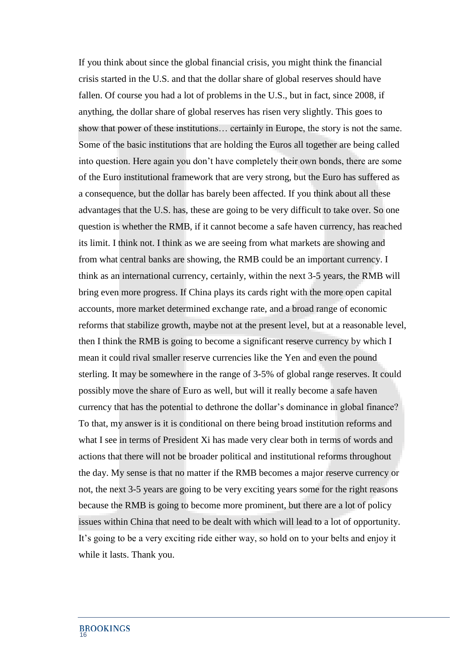If you think about since the global financial crisis, you might think the financial crisis started in the U.S. and that the dollar share of global reserves should have fallen. Of course you had a lot of problems in the U.S., but in fact, since 2008, if anything, the dollar share of global reserves has risen very slightly. This goes to show that power of these institutions… certainly in Europe, the story is not the same. Some of the basic institutions that are holding the Euros all together are being called into question. Here again you don't have completely their own bonds, there are some of the Euro institutional framework that are very strong, but the Euro has suffered as a consequence, but the dollar has barely been affected. If you think about all these advantages that the U.S. has, these are going to be very difficult to take over. So one question is whether the RMB, if it cannot become a safe haven currency, has reached its limit. I think not. I think as we are seeing from what markets are showing and from what central banks are showing, the RMB could be an important currency. I think as an international currency, certainly, within the next 3-5 years, the RMB will bring even more progress. If China plays its cards right with the more open capital accounts, more market determined exchange rate, and a broad range of economic reforms that stabilize growth, maybe not at the present level, but at a reasonable level, then I think the RMB is going to become a significant reserve currency by which I mean it could rival smaller reserve currencies like the Yen and even the pound sterling. It may be somewhere in the range of 3-5% of global range reserves. It could possibly move the share of Euro as well, but will it really become a safe haven currency that has the potential to dethrone the dollar's dominance in global finance? To that, my answer is it is conditional on there being broad institution reforms and what I see in terms of President Xi has made very clear both in terms of words and actions that there will not be broader political and institutional reforms throughout the day. My sense is that no matter if the RMB becomes a major reserve currency or not, the next 3-5 years are going to be very exciting years some for the right reasons because the RMB is going to become more prominent, but there are a lot of policy issues within China that need to be dealt with which will lead to a lot of opportunity. It's going to be a very exciting ride either way, so hold on to your belts and enjoy it while it lasts. Thank you.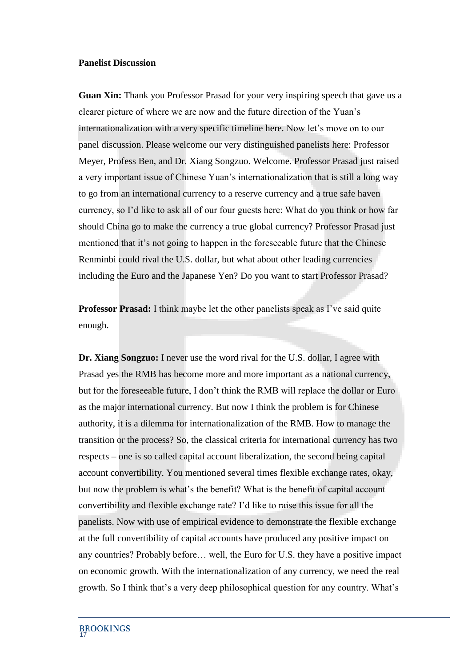## **Panelist Discussion**

**Guan Xin:** Thank you Professor Prasad for your very inspiring speech that gave us a clearer picture of where we are now and the future direction of the Yuan's internationalization with a very specific timeline here. Now let's move on to our panel discussion. Please welcome our very distinguished panelists here: Professor Meyer, Profess Ben, and Dr. Xiang Songzuo. Welcome. Professor Prasad just raised a very important issue of Chinese Yuan's internationalization that is still a long way to go from an international currency to a reserve currency and a true safe haven currency, so I'd like to ask all of our four guests here: What do you think or how far should China go to make the currency a true global currency? Professor Prasad just mentioned that it's not going to happen in the foreseeable future that the Chinese Renminbi could rival the U.S. dollar, but what about other leading currencies including the Euro and the Japanese Yen? Do you want to start Professor Prasad?

**Professor Prasad:** I think maybe let the other panelists speak as I've said quite enough.

**Dr. Xiang Songzuo:** I never use the word rival for the U.S. dollar, I agree with Prasad yes the RMB has become more and more important as a national currency, but for the foreseeable future, I don't think the RMB will replace the dollar or Euro as the major international currency. But now I think the problem is for Chinese authority, it is a dilemma for internationalization of the RMB. How to manage the transition or the process? So, the classical criteria for international currency has two respects – one is so called capital account liberalization, the second being capital account convertibility. You mentioned several times flexible exchange rates, okay, but now the problem is what's the benefit? What is the benefit of capital account convertibility and flexible exchange rate? I'd like to raise this issue for all the panelists. Now with use of empirical evidence to demonstrate the flexible exchange at the full convertibility of capital accounts have produced any positive impact on any countries? Probably before… well, the Euro for U.S. they have a positive impact on economic growth. With the internationalization of any currency, we need the real growth. So I think that's a very deep philosophical question for any country. What's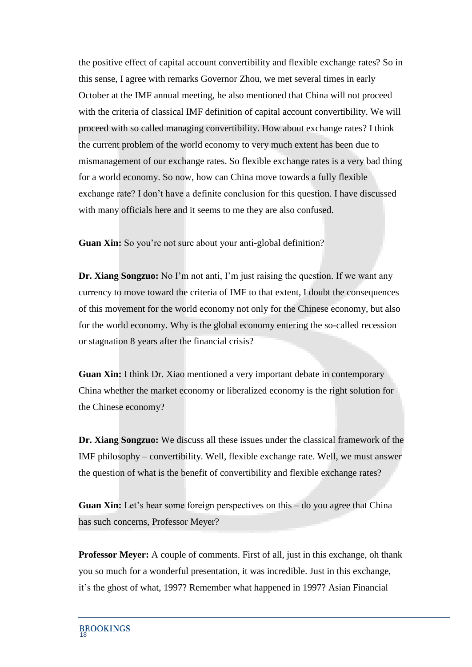the positive effect of capital account convertibility and flexible exchange rates? So in this sense, I agree with remarks Governor Zhou, we met several times in early October at the IMF annual meeting, he also mentioned that China will not proceed with the criteria of classical IMF definition of capital account convertibility. We will proceed with so called managing convertibility. How about exchange rates? I think the current problem of the world economy to very much extent has been due to mismanagement of our exchange rates. So flexible exchange rates is a very bad thing for a world economy. So now, how can China move towards a fully flexible exchange rate? I don't have a definite conclusion for this question. I have discussed with many officials here and it seems to me they are also confused.

**Guan Xin:** So you're not sure about your anti-global definition?

**Dr. Xiang Songzuo:** No I'm not anti, I'm just raising the question. If we want any currency to move toward the criteria of IMF to that extent, I doubt the consequences of this movement for the world economy not only for the Chinese economy, but also for the world economy. Why is the global economy entering the so-called recession or stagnation 8 years after the financial crisis?

**Guan Xin:** I think Dr. Xiao mentioned a very important debate in contemporary China whether the market economy or liberalized economy is the right solution for the Chinese economy?

**Dr. Xiang Songzuo:** We discuss all these issues under the classical framework of the IMF philosophy – convertibility. Well, flexible exchange rate. Well, we must answer the question of what is the benefit of convertibility and flexible exchange rates?

**Guan Xin:** Let's hear some foreign perspectives on this – do you agree that China has such concerns, Professor Meyer?

**Professor Meyer:** A couple of comments. First of all, just in this exchange, oh thank you so much for a wonderful presentation, it was incredible. Just in this exchange, it's the ghost of what, 1997? Remember what happened in 1997? Asian Financial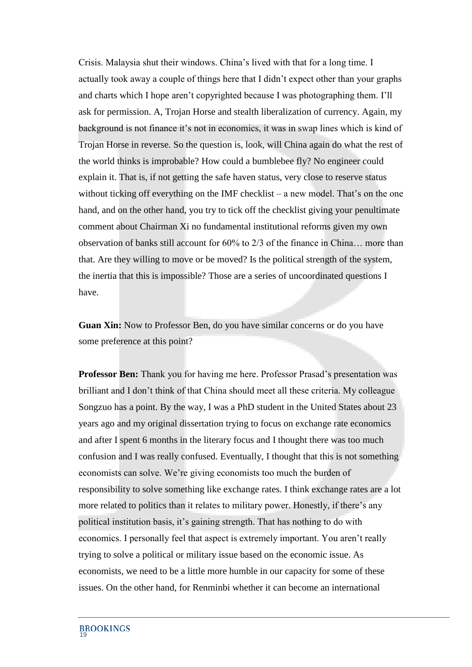Crisis. Malaysia shut their windows. China's lived with that for a long time. I actually took away a couple of things here that I didn't expect other than your graphs and charts which I hope aren't copyrighted because I was photographing them. I'll ask for permission. A, Trojan Horse and stealth liberalization of currency. Again, my background is not finance it's not in economics, it was in swap lines which is kind of Trojan Horse in reverse. So the question is, look, will China again do what the rest of the world thinks is improbable? How could a bumblebee fly? No engineer could explain it. That is, if not getting the safe haven status, very close to reserve status without ticking off everything on the IMF checklist – a new model. That's on the one hand, and on the other hand, you try to tick off the checklist giving your penultimate comment about Chairman Xi no fundamental institutional reforms given my own observation of banks still account for 60% to 2/3 of the finance in China… more than that. Are they willing to move or be moved? Is the political strength of the system, the inertia that this is impossible? Those are a series of uncoordinated questions I have.

**Guan Xin:** Now to Professor Ben, do you have similar concerns or do you have some preference at this point?

**Professor Ben:** Thank you for having me here. Professor Prasad's presentation was brilliant and I don't think of that China should meet all these criteria. My colleague Songzuo has a point. By the way, I was a PhD student in the United States about 23 years ago and my original dissertation trying to focus on exchange rate economics and after I spent 6 months in the literary focus and I thought there was too much confusion and I was really confused. Eventually, I thought that this is not something economists can solve. We're giving economists too much the burden of responsibility to solve something like exchange rates. I think exchange rates are a lot more related to politics than it relates to military power. Honestly, if there's any political institution basis, it's gaining strength. That has nothing to do with economics. I personally feel that aspect is extremely important. You aren't really trying to solve a political or military issue based on the economic issue. As economists, we need to be a little more humble in our capacity for some of these issues. On the other hand, for Renminbi whether it can become an international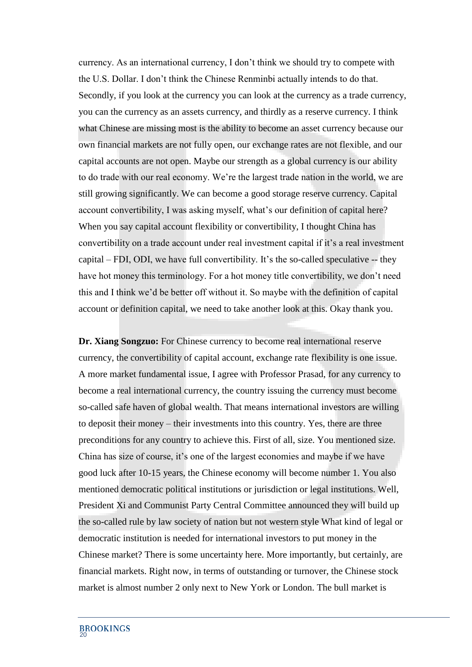currency. As an international currency, I don't think we should try to compete with the U.S. Dollar. I don't think the Chinese Renminbi actually intends to do that. Secondly, if you look at the currency you can look at the currency as a trade currency, you can the currency as an assets currency, and thirdly as a reserve currency. I think what Chinese are missing most is the ability to become an asset currency because our own financial markets are not fully open, our exchange rates are not flexible, and our capital accounts are not open. Maybe our strength as a global currency is our ability to do trade with our real economy. We're the largest trade nation in the world, we are still growing significantly. We can become a good storage reserve currency. Capital account convertibility, I was asking myself, what's our definition of capital here? When you say capital account flexibility or convertibility, I thought China has convertibility on a trade account under real investment capital if it's a real investment capital – FDI, ODI, we have full convertibility. It's the so-called speculative -- they have hot money this terminology. For a hot money title convertibility, we don't need this and I think we'd be better off without it. So maybe with the definition of capital account or definition capital, we need to take another look at this. Okay thank you.

**Dr. Xiang Songzuo:** For Chinese currency to become real international reserve currency, the convertibility of capital account, exchange rate flexibility is one issue. A more market fundamental issue, I agree with Professor Prasad, for any currency to become a real international currency, the country issuing the currency must become so-called safe haven of global wealth. That means international investors are willing to deposit their money – their investments into this country. Yes, there are three preconditions for any country to achieve this. First of all, size. You mentioned size. China has size of course, it's one of the largest economies and maybe if we have good luck after 10-15 years, the Chinese economy will become number 1. You also mentioned democratic political institutions or jurisdiction or legal institutions. Well, President Xi and Communist Party Central Committee announced they will build up the so-called rule by law society of nation but not western style What kind of legal or democratic institution is needed for international investors to put money in the Chinese market? There is some uncertainty here. More importantly, but certainly, are financial markets. Right now, in terms of outstanding or turnover, the Chinese stock market is almost number 2 only next to New York or London. The bull market is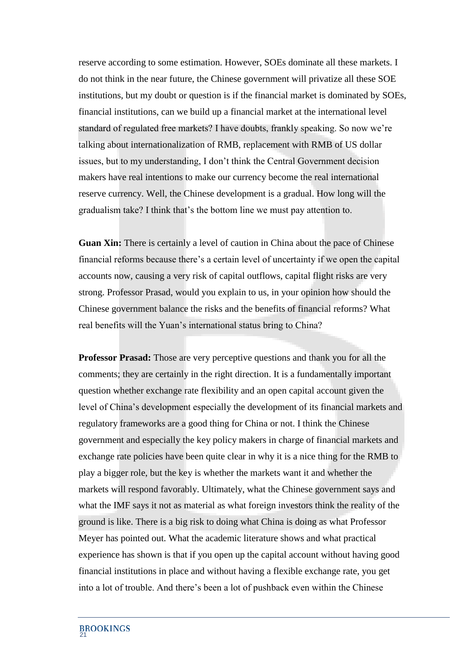reserve according to some estimation. However, SOEs dominate all these markets. I do not think in the near future, the Chinese government will privatize all these SOE institutions, but my doubt or question is if the financial market is dominated by SOEs, financial institutions, can we build up a financial market at the international level standard of regulated free markets? I have doubts, frankly speaking. So now we're talking about internationalization of RMB, replacement with RMB of US dollar issues, but to my understanding, I don't think the Central Government decision makers have real intentions to make our currency become the real international reserve currency. Well, the Chinese development is a gradual. How long will the gradualism take? I think that's the bottom line we must pay attention to.

**Guan Xin:** There is certainly a level of caution in China about the pace of Chinese financial reforms because there's a certain level of uncertainty if we open the capital accounts now, causing a very risk of capital outflows, capital flight risks are very strong. Professor Prasad, would you explain to us, in your opinion how should the Chinese government balance the risks and the benefits of financial reforms? What real benefits will the Yuan's international status bring to China?

**Professor Prasad:** Those are very perceptive questions and thank you for all the comments; they are certainly in the right direction. It is a fundamentally important question whether exchange rate flexibility and an open capital account given the level of China's development especially the development of its financial markets and regulatory frameworks are a good thing for China or not. I think the Chinese government and especially the key policy makers in charge of financial markets and exchange rate policies have been quite clear in why it is a nice thing for the RMB to play a bigger role, but the key is whether the markets want it and whether the markets will respond favorably. Ultimately, what the Chinese government says and what the IMF says it not as material as what foreign investors think the reality of the ground is like. There is a big risk to doing what China is doing as what Professor Meyer has pointed out. What the academic literature shows and what practical experience has shown is that if you open up the capital account without having good financial institutions in place and without having a flexible exchange rate, you get into a lot of trouble. And there's been a lot of pushback even within the Chinese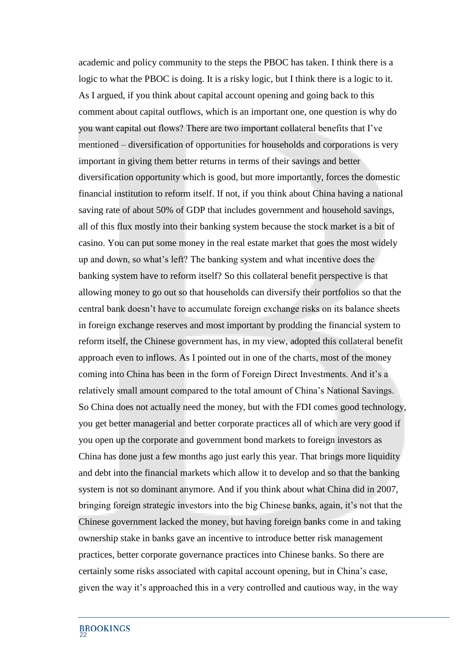academic and policy community to the steps the PBOC has taken. I think there is a logic to what the PBOC is doing. It is a risky logic, but I think there is a logic to it. As I argued, if you think about capital account opening and going back to this comment about capital outflows, which is an important one, one question is why do you want capital out flows? There are two important collateral benefits that I've mentioned – diversification of opportunities for households and corporations is very important in giving them better returns in terms of their savings and better diversification opportunity which is good, but more importantly, forces the domestic financial institution to reform itself. If not, if you think about China having a national saving rate of about 50% of GDP that includes government and household savings, all of this flux mostly into their banking system because the stock market is a bit of casino. You can put some money in the real estate market that goes the most widely up and down, so what's left? The banking system and what incentive does the banking system have to reform itself? So this collateral benefit perspective is that allowing money to go out so that households can diversify their portfolios so that the central bank doesn't have to accumulate foreign exchange risks on its balance sheets in foreign exchange reserves and most important by prodding the financial system to reform itself, the Chinese government has, in my view, adopted this collateral benefit approach even to inflows. As I pointed out in one of the charts, most of the money coming into China has been in the form of Foreign Direct Investments. And it's a relatively small amount compared to the total amount of China's National Savings. So China does not actually need the money, but with the FDI comes good technology, you get better managerial and better corporate practices all of which are very good if you open up the corporate and government bond markets to foreign investors as China has done just a few months ago just early this year. That brings more liquidity and debt into the financial markets which allow it to develop and so that the banking system is not so dominant anymore. And if you think about what China did in 2007, bringing foreign strategic investors into the big Chinese banks, again, it's not that the Chinese government lacked the money, but having foreign banks come in and taking ownership stake in banks gave an incentive to introduce better risk management practices, better corporate governance practices into Chinese banks. So there are certainly some risks associated with capital account opening, but in China's case, given the way it's approached this in a very controlled and cautious way, in the way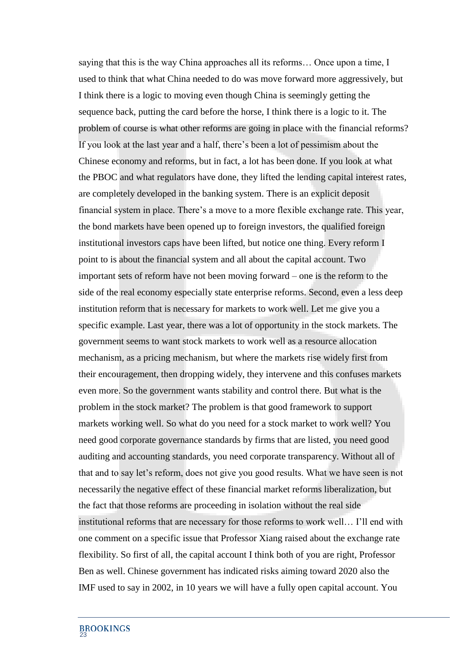saying that this is the way China approaches all its reforms… Once upon a time, I used to think that what China needed to do was move forward more aggressively, but I think there is a logic to moving even though China is seemingly getting the sequence back, putting the card before the horse, I think there is a logic to it. The problem of course is what other reforms are going in place with the financial reforms? If you look at the last year and a half, there's been a lot of pessimism about the Chinese economy and reforms, but in fact, a lot has been done. If you look at what the PBOC and what regulators have done, they lifted the lending capital interest rates, are completely developed in the banking system. There is an explicit deposit financial system in place. There's a move to a more flexible exchange rate. This year, the bond markets have been opened up to foreign investors, the qualified foreign institutional investors caps have been lifted, but notice one thing. Every reform I point to is about the financial system and all about the capital account. Two important sets of reform have not been moving forward – one is the reform to the side of the real economy especially state enterprise reforms. Second, even a less deep institution reform that is necessary for markets to work well. Let me give you a specific example. Last year, there was a lot of opportunity in the stock markets. The government seems to want stock markets to work well as a resource allocation mechanism, as a pricing mechanism, but where the markets rise widely first from their encouragement, then dropping widely, they intervene and this confuses markets even more. So the government wants stability and control there. But what is the problem in the stock market? The problem is that good framework to support markets working well. So what do you need for a stock market to work well? You need good corporate governance standards by firms that are listed, you need good auditing and accounting standards, you need corporate transparency. Without all of that and to say let's reform, does not give you good results. What we have seen is not necessarily the negative effect of these financial market reforms liberalization, but the fact that those reforms are proceeding in isolation without the real side institutional reforms that are necessary for those reforms to work well… I'll end with one comment on a specific issue that Professor Xiang raised about the exchange rate flexibility. So first of all, the capital account I think both of you are right, Professor Ben as well. Chinese government has indicated risks aiming toward 2020 also the IMF used to say in 2002, in 10 years we will have a fully open capital account. You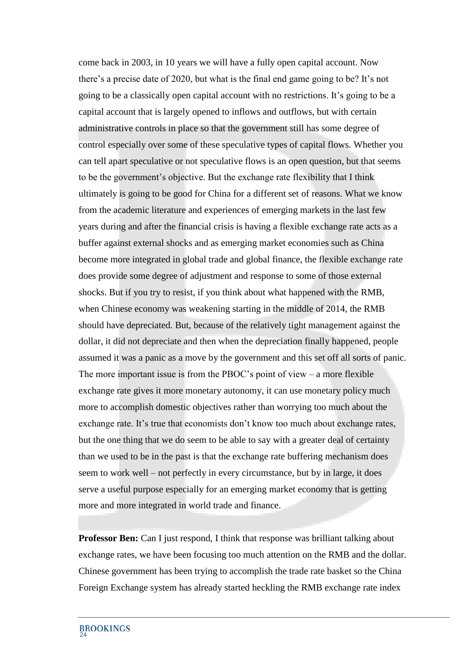come back in 2003, in 10 years we will have a fully open capital account. Now there's a precise date of 2020, but what is the final end game going to be? It's not going to be a classically open capital account with no restrictions. It's going to be a capital account that is largely opened to inflows and outflows, but with certain administrative controls in place so that the government still has some degree of control especially over some of these speculative types of capital flows. Whether you can tell apart speculative or not speculative flows is an open question, but that seems to be the government's objective. But the exchange rate flexibility that I think ultimately is going to be good for China for a different set of reasons. What we know from the academic literature and experiences of emerging markets in the last few years during and after the financial crisis is having a flexible exchange rate acts as a buffer against external shocks and as emerging market economies such as China become more integrated in global trade and global finance, the flexible exchange rate does provide some degree of adjustment and response to some of those external shocks. But if you try to resist, if you think about what happened with the RMB, when Chinese economy was weakening starting in the middle of 2014, the RMB should have depreciated. But, because of the relatively tight management against the dollar, it did not depreciate and then when the depreciation finally happened, people assumed it was a panic as a move by the government and this set off all sorts of panic. The more important issue is from the PBOC's point of view – a more flexible exchange rate gives it more monetary autonomy, it can use monetary policy much more to accomplish domestic objectives rather than worrying too much about the exchange rate. It's true that economists don't know too much about exchange rates, but the one thing that we do seem to be able to say with a greater deal of certainty than we used to be in the past is that the exchange rate buffering mechanism does seem to work well – not perfectly in every circumstance, but by in large, it does serve a useful purpose especially for an emerging market economy that is getting more and more integrated in world trade and finance.

**Professor Ben:** Can I just respond, I think that response was brilliant talking about exchange rates, we have been focusing too much attention on the RMB and the dollar. Chinese government has been trying to accomplish the trade rate basket so the China Foreign Exchange system has already started heckling the RMB exchange rate index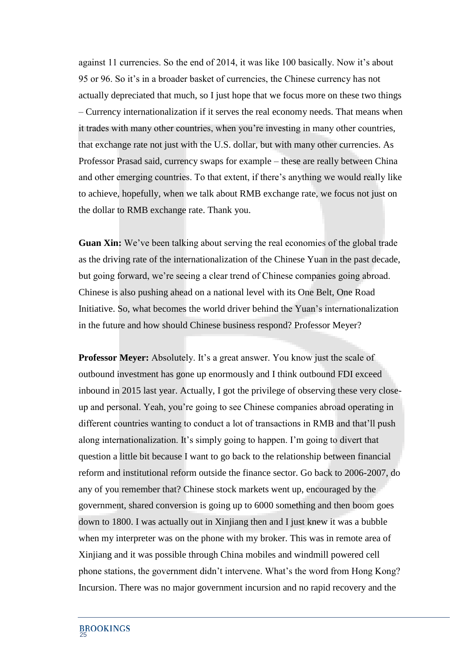against 11 currencies. So the end of 2014, it was like 100 basically. Now it's about 95 or 96. So it's in a broader basket of currencies, the Chinese currency has not actually depreciated that much, so I just hope that we focus more on these two things – Currency internationalization if it serves the real economy needs. That means when it trades with many other countries, when you're investing in many other countries, that exchange rate not just with the U.S. dollar, but with many other currencies. As Professor Prasad said, currency swaps for example – these are really between China and other emerging countries. To that extent, if there's anything we would really like to achieve, hopefully, when we talk about RMB exchange rate, we focus not just on the dollar to RMB exchange rate. Thank you.

**Guan Xin:** We've been talking about serving the real economies of the global trade as the driving rate of the internationalization of the Chinese Yuan in the past decade, but going forward, we're seeing a clear trend of Chinese companies going abroad. Chinese is also pushing ahead on a national level with its One Belt, One Road Initiative. So, what becomes the world driver behind the Yuan's internationalization in the future and how should Chinese business respond? Professor Meyer?

**Professor Meyer:** Absolutely. It's a great answer. You know just the scale of outbound investment has gone up enormously and I think outbound FDI exceed inbound in 2015 last year. Actually, I got the privilege of observing these very closeup and personal. Yeah, you're going to see Chinese companies abroad operating in different countries wanting to conduct a lot of transactions in RMB and that'll push along internationalization. It's simply going to happen. I'm going to divert that question a little bit because I want to go back to the relationship between financial reform and institutional reform outside the finance sector. Go back to 2006-2007, do any of you remember that? Chinese stock markets went up, encouraged by the government, shared conversion is going up to 6000 something and then boom goes down to 1800. I was actually out in Xinjiang then and I just knew it was a bubble when my interpreter was on the phone with my broker. This was in remote area of Xinjiang and it was possible through China mobiles and windmill powered cell phone stations, the government didn't intervene. What's the word from Hong Kong? Incursion. There was no major government incursion and no rapid recovery and the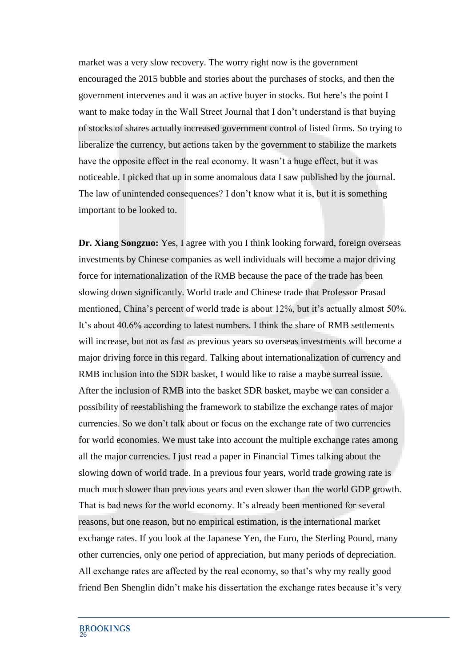market was a very slow recovery. The worry right now is the government encouraged the 2015 bubble and stories about the purchases of stocks, and then the government intervenes and it was an active buyer in stocks. But here's the point I want to make today in the Wall Street Journal that I don't understand is that buying of stocks of shares actually increased government control of listed firms. So trying to liberalize the currency, but actions taken by the government to stabilize the markets have the opposite effect in the real economy. It wasn't a huge effect, but it was noticeable. I picked that up in some anomalous data I saw published by the journal. The law of unintended consequences? I don't know what it is, but it is something important to be looked to.

**Dr. Xiang Songzuo:** Yes, I agree with you I think looking forward, foreign overseas investments by Chinese companies as well individuals will become a major driving force for internationalization of the RMB because the pace of the trade has been slowing down significantly. World trade and Chinese trade that Professor Prasad mentioned, China's percent of world trade is about 12%, but it's actually almost 50%. It's about 40.6% according to latest numbers. I think the share of RMB settlements will increase, but not as fast as previous years so overseas investments will become a major driving force in this regard. Talking about internationalization of currency and RMB inclusion into the SDR basket, I would like to raise a maybe surreal issue. After the inclusion of RMB into the basket SDR basket, maybe we can consider a possibility of reestablishing the framework to stabilize the exchange rates of major currencies. So we don't talk about or focus on the exchange rate of two currencies for world economies. We must take into account the multiple exchange rates among all the major currencies. I just read a paper in Financial Times talking about the slowing down of world trade. In a previous four years, world trade growing rate is much much slower than previous years and even slower than the world GDP growth. That is bad news for the world economy. It's already been mentioned for several reasons, but one reason, but no empirical estimation, is the international market exchange rates. If you look at the Japanese Yen, the Euro, the Sterling Pound, many other currencies, only one period of appreciation, but many periods of depreciation. All exchange rates are affected by the real economy, so that's why my really good friend Ben Shenglin didn't make his dissertation the exchange rates because it's very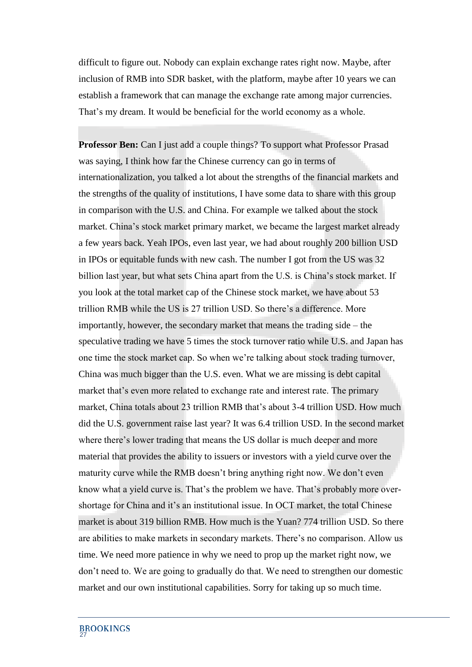difficult to figure out. Nobody can explain exchange rates right now. Maybe, after inclusion of RMB into SDR basket, with the platform, maybe after 10 years we can establish a framework that can manage the exchange rate among major currencies. That's my dream. It would be beneficial for the world economy as a whole.

**Professor Ben:** Can I just add a couple things? To support what Professor Prasad was saying, I think how far the Chinese currency can go in terms of internationalization, you talked a lot about the strengths of the financial markets and the strengths of the quality of institutions, I have some data to share with this group in comparison with the U.S. and China. For example we talked about the stock market. China's stock market primary market, we became the largest market already a few years back. Yeah IPOs, even last year, we had about roughly 200 billion USD in IPOs or equitable funds with new cash. The number I got from the US was 32 billion last year, but what sets China apart from the U.S. is China's stock market. If you look at the total market cap of the Chinese stock market, we have about 53 trillion RMB while the US is 27 trillion USD. So there's a difference. More importantly, however, the secondary market that means the trading side – the speculative trading we have 5 times the stock turnover ratio while U.S. and Japan has one time the stock market cap. So when we're talking about stock trading turnover, China was much bigger than the U.S. even. What we are missing is debt capital market that's even more related to exchange rate and interest rate. The primary market, China totals about 23 trillion RMB that's about 3-4 trillion USD. How much did the U.S. government raise last year? It was 6.4 trillion USD. In the second market where there's lower trading that means the US dollar is much deeper and more material that provides the ability to issuers or investors with a yield curve over the maturity curve while the RMB doesn't bring anything right now. We don't even know what a yield curve is. That's the problem we have. That's probably more overshortage for China and it's an institutional issue. In OCT market, the total Chinese market is about 319 billion RMB. How much is the Yuan? 774 trillion USD. So there are abilities to make markets in secondary markets. There's no comparison. Allow us time. We need more patience in why we need to prop up the market right now, we don't need to. We are going to gradually do that. We need to strengthen our domestic market and our own institutional capabilities. Sorry for taking up so much time.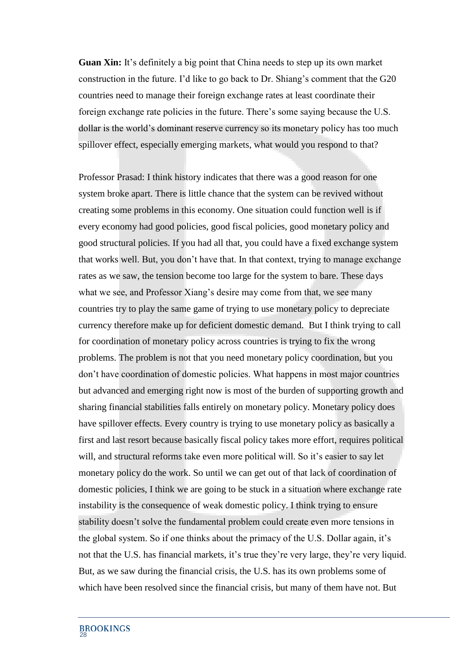**Guan Xin:** It's definitely a big point that China needs to step up its own market construction in the future. I'd like to go back to Dr. Shiang's comment that the G20 countries need to manage their foreign exchange rates at least coordinate their foreign exchange rate policies in the future. There's some saying because the U.S. dollar is the world's dominant reserve currency so its monetary policy has too much spillover effect, especially emerging markets, what would you respond to that?

Professor Prasad: I think history indicates that there was a good reason for one system broke apart. There is little chance that the system can be revived without creating some problems in this economy. One situation could function well is if every economy had good policies, good fiscal policies, good monetary policy and good structural policies. If you had all that, you could have a fixed exchange system that works well. But, you don't have that. In that context, trying to manage exchange rates as we saw, the tension become too large for the system to bare. These days what we see, and Professor Xiang's desire may come from that, we see many countries try to play the same game of trying to use monetary policy to depreciate currency therefore make up for deficient domestic demand. But I think trying to call for coordination of monetary policy across countries is trying to fix the wrong problems. The problem is not that you need monetary policy coordination, but you don't have coordination of domestic policies. What happens in most major countries but advanced and emerging right now is most of the burden of supporting growth and sharing financial stabilities falls entirely on monetary policy. Monetary policy does have spillover effects. Every country is trying to use monetary policy as basically a first and last resort because basically fiscal policy takes more effort, requires political will, and structural reforms take even more political will. So it's easier to say let monetary policy do the work. So until we can get out of that lack of coordination of domestic policies, I think we are going to be stuck in a situation where exchange rate instability is the consequence of weak domestic policy. I think trying to ensure stability doesn't solve the fundamental problem could create even more tensions in the global system. So if one thinks about the primacy of the U.S. Dollar again, it's not that the U.S. has financial markets, it's true they're very large, they're very liquid. But, as we saw during the financial crisis, the U.S. has its own problems some of which have been resolved since the financial crisis, but many of them have not. But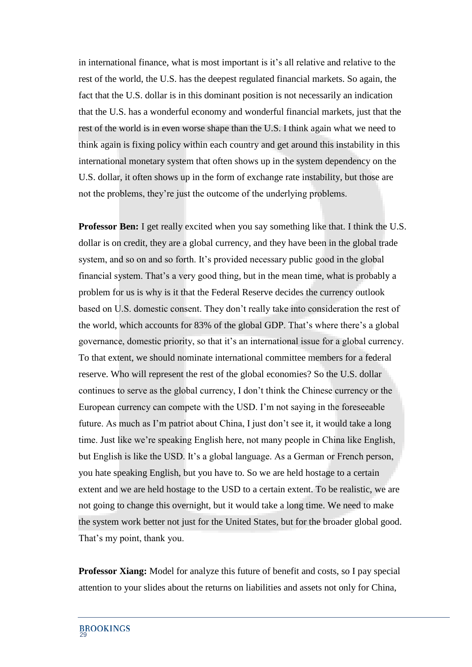in international finance, what is most important is it's all relative and relative to the rest of the world, the U.S. has the deepest regulated financial markets. So again, the fact that the U.S. dollar is in this dominant position is not necessarily an indication that the U.S. has a wonderful economy and wonderful financial markets, just that the rest of the world is in even worse shape than the U.S. I think again what we need to think again is fixing policy within each country and get around this instability in this international monetary system that often shows up in the system dependency on the U.S. dollar, it often shows up in the form of exchange rate instability, but those are not the problems, they're just the outcome of the underlying problems.

**Professor Ben:** I get really excited when you say something like that. I think the U.S. dollar is on credit, they are a global currency, and they have been in the global trade system, and so on and so forth. It's provided necessary public good in the global financial system. That's a very good thing, but in the mean time, what is probably a problem for us is why is it that the Federal Reserve decides the currency outlook based on U.S. domestic consent. They don't really take into consideration the rest of the world, which accounts for 83% of the global GDP. That's where there's a global governance, domestic priority, so that it's an international issue for a global currency. To that extent, we should nominate international committee members for a federal reserve. Who will represent the rest of the global economies? So the U.S. dollar continues to serve as the global currency, I don't think the Chinese currency or the European currency can compete with the USD. I'm not saying in the foreseeable future. As much as I'm patriot about China, I just don't see it, it would take a long time. Just like we're speaking English here, not many people in China like English, but English is like the USD. It's a global language. As a German or French person, you hate speaking English, but you have to. So we are held hostage to a certain extent and we are held hostage to the USD to a certain extent. To be realistic, we are not going to change this overnight, but it would take a long time. We need to make the system work better not just for the United States, but for the broader global good. That's my point, thank you.

**Professor Xiang:** Model for analyze this future of benefit and costs, so I pay special attention to your slides about the returns on liabilities and assets not only for China,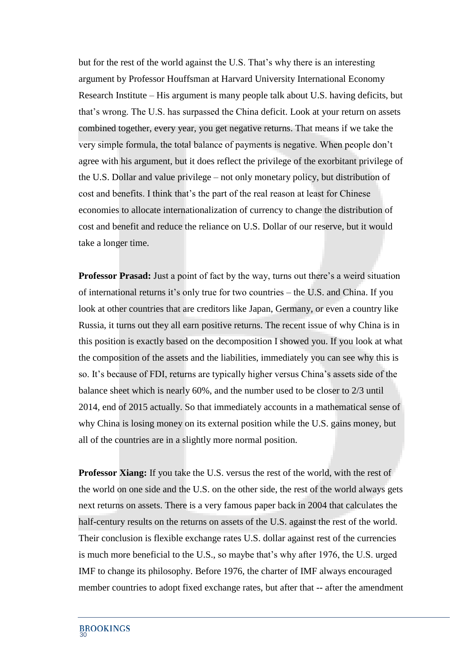but for the rest of the world against the U.S. That's why there is an interesting argument by Professor Houffsman at Harvard University International Economy Research Institute – His argument is many people talk about U.S. having deficits, but that's wrong. The U.S. has surpassed the China deficit. Look at your return on assets combined together, every year, you get negative returns. That means if we take the very simple formula, the total balance of payments is negative. When people don't agree with his argument, but it does reflect the privilege of the exorbitant privilege of the U.S. Dollar and value privilege – not only monetary policy, but distribution of cost and benefits. I think that's the part of the real reason at least for Chinese economies to allocate internationalization of currency to change the distribution of cost and benefit and reduce the reliance on U.S. Dollar of our reserve, but it would take a longer time.

**Professor Prasad:** Just a point of fact by the way, turns out there's a weird situation of international returns it's only true for two countries – the U.S. and China. If you look at other countries that are creditors like Japan, Germany, or even a country like Russia, it turns out they all earn positive returns. The recent issue of why China is in this position is exactly based on the decomposition I showed you. If you look at what the composition of the assets and the liabilities, immediately you can see why this is so. It's because of FDI, returns are typically higher versus China's assets side of the balance sheet which is nearly 60%, and the number used to be closer to 2/3 until 2014, end of 2015 actually. So that immediately accounts in a mathematical sense of why China is losing money on its external position while the U.S. gains money, but all of the countries are in a slightly more normal position.

**Professor Xiang:** If you take the U.S. versus the rest of the world, with the rest of the world on one side and the U.S. on the other side, the rest of the world always gets next returns on assets. There is a very famous paper back in 2004 that calculates the half-century results on the returns on assets of the U.S. against the rest of the world. Their conclusion is flexible exchange rates U.S. dollar against rest of the currencies is much more beneficial to the U.S., so maybe that's why after 1976, the U.S. urged IMF to change its philosophy. Before 1976, the charter of IMF always encouraged member countries to adopt fixed exchange rates, but after that -- after the amendment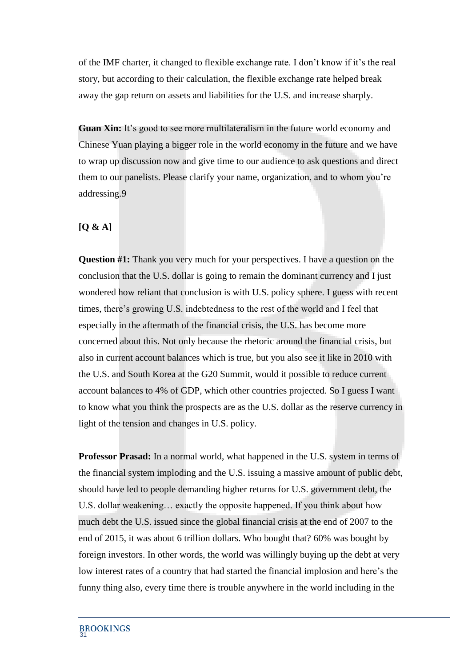of the IMF charter, it changed to flexible exchange rate. I don't know if it's the real story, but according to their calculation, the flexible exchange rate helped break away the gap return on assets and liabilities for the U.S. and increase sharply.

**Guan Xin:** It's good to see more multilateralism in the future world economy and Chinese Yuan playing a bigger role in the world economy in the future and we have to wrap up discussion now and give time to our audience to ask questions and direct them to our panelists. Please clarify your name, organization, and to whom you're addressing.9

## **[Q & A]**

**Question #1:** Thank you very much for your perspectives. I have a question on the conclusion that the U.S. dollar is going to remain the dominant currency and I just wondered how reliant that conclusion is with U.S. policy sphere. I guess with recent times, there's growing U.S. indebtedness to the rest of the world and I feel that especially in the aftermath of the financial crisis, the U.S. has become more concerned about this. Not only because the rhetoric around the financial crisis, but also in current account balances which is true, but you also see it like in 2010 with the U.S. and South Korea at the G20 Summit, would it possible to reduce current account balances to 4% of GDP, which other countries projected. So I guess I want to know what you think the prospects are as the U.S. dollar as the reserve currency in light of the tension and changes in U.S. policy.

**Professor Prasad:** In a normal world, what happened in the U.S. system in terms of the financial system imploding and the U.S. issuing a massive amount of public debt, should have led to people demanding higher returns for U.S. government debt, the U.S. dollar weakening… exactly the opposite happened. If you think about how much debt the U.S. issued since the global financial crisis at the end of 2007 to the end of 2015, it was about 6 trillion dollars. Who bought that? 60% was bought by foreign investors. In other words, the world was willingly buying up the debt at very low interest rates of a country that had started the financial implosion and here's the funny thing also, every time there is trouble anywhere in the world including in the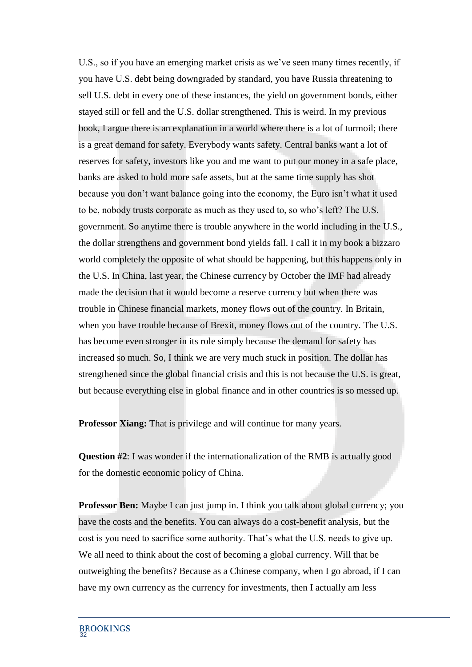U.S., so if you have an emerging market crisis as we've seen many times recently, if you have U.S. debt being downgraded by standard, you have Russia threatening to sell U.S. debt in every one of these instances, the yield on government bonds, either stayed still or fell and the U.S. dollar strengthened. This is weird. In my previous book, I argue there is an explanation in a world where there is a lot of turmoil; there is a great demand for safety. Everybody wants safety. Central banks want a lot of reserves for safety, investors like you and me want to put our money in a safe place, banks are asked to hold more safe assets, but at the same time supply has shot because you don't want balance going into the economy, the Euro isn't what it used to be, nobody trusts corporate as much as they used to, so who's left? The U.S. government. So anytime there is trouble anywhere in the world including in the U.S., the dollar strengthens and government bond yields fall. I call it in my book a bizzaro world completely the opposite of what should be happening, but this happens only in the U.S. In China, last year, the Chinese currency by October the IMF had already made the decision that it would become a reserve currency but when there was trouble in Chinese financial markets, money flows out of the country. In Britain, when you have trouble because of Brexit, money flows out of the country. The U.S. has become even stronger in its role simply because the demand for safety has increased so much. So, I think we are very much stuck in position. The dollar has strengthened since the global financial crisis and this is not because the U.S. is great, but because everything else in global finance and in other countries is so messed up.

**Professor Xiang:** That is privilege and will continue for many years.

**Question #2**: I was wonder if the internationalization of the RMB is actually good for the domestic economic policy of China.

**Professor Ben:** Maybe I can just jump in. I think you talk about global currency; you have the costs and the benefits. You can always do a cost-benefit analysis, but the cost is you need to sacrifice some authority. That's what the U.S. needs to give up. We all need to think about the cost of becoming a global currency. Will that be outweighing the benefits? Because as a Chinese company, when I go abroad, if I can have my own currency as the currency for investments, then I actually am less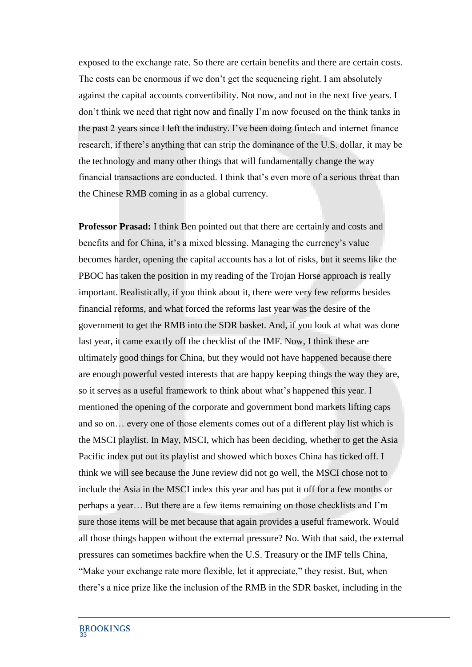exposed to the exchange rate. So there are certain benefits and there are certain costs. The costs can be enormous if we don't get the sequencing right. I am absolutely against the capital accounts convertibility. Not now, and not in the next five years. I don't think we need that right now and finally I'm now focused on the think tanks in the past 2 years since I left the industry. I've been doing fintech and internet finance research, if there's anything that can strip the dominance of the U.S. dollar, it may be the technology and many other things that will fundamentally change the way financial transactions are conducted. I think that's even more of a serious threat than the Chinese RMB coming in as a global currency.

**Professor Prasad:** I think Ben pointed out that there are certainly and costs and benefits and for China, it's a mixed blessing. Managing the currency's value becomes harder, opening the capital accounts has a lot of risks, but it seems like the PBOC has taken the position in my reading of the Trojan Horse approach is really important. Realistically, if you think about it, there were very few reforms besides financial reforms, and what forced the reforms last year was the desire of the government to get the RMB into the SDR basket. And, if you look at what was done last year, it came exactly off the checklist of the IMF. Now, I think these are ultimately good things for China, but they would not have happened because there are enough powerful vested interests that are happy keeping things the way they are, so it serves as a useful framework to think about what's happened this year. I mentioned the opening of the corporate and government bond markets lifting caps and so on… every one of those elements comes out of a different play list which is the MSCI playlist. In May, MSCI, which has been deciding, whether to get the Asia Pacific index put out its playlist and showed which boxes China has ticked off. I think we will see because the June review did not go well, the MSCI chose not to include the Asia in the MSCI index this year and has put it off for a few months or perhaps a year… But there are a few items remaining on those checklists and I'm sure those items will be met because that again provides a useful framework. Would all those things happen without the external pressure? No. With that said, the external pressures can sometimes backfire when the U.S. Treasury or the IMF tells China, "Make your exchange rate more flexible, let it appreciate," they resist. But, when there's a nice prize like the inclusion of the RMB in the SDR basket, including in the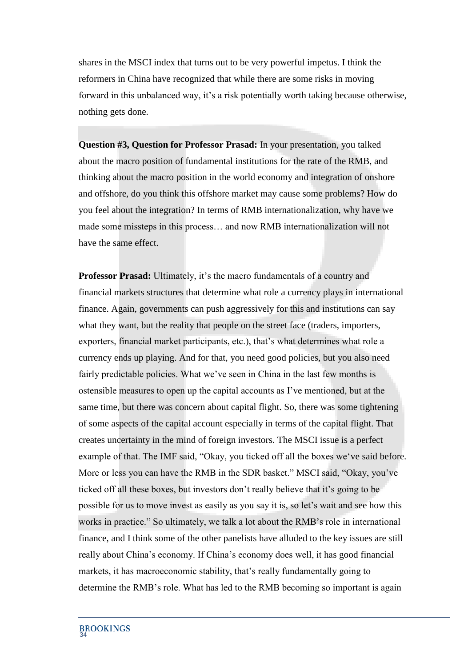shares in the MSCI index that turns out to be very powerful impetus. I think the reformers in China have recognized that while there are some risks in moving forward in this unbalanced way, it's a risk potentially worth taking because otherwise, nothing gets done.

**Question #3, Question for Professor Prasad:** In your presentation, you talked about the macro position of fundamental institutions for the rate of the RMB, and thinking about the macro position in the world economy and integration of onshore and offshore, do you think this offshore market may cause some problems? How do you feel about the integration? In terms of RMB internationalization, why have we made some missteps in this process… and now RMB internationalization will not have the same effect.

**Professor Prasad:** Ultimately, it's the macro fundamentals of a country and financial markets structures that determine what role a currency plays in international finance. Again, governments can push aggressively for this and institutions can say what they want, but the reality that people on the street face (traders, importers, exporters, financial market participants, etc.), that's what determines what role a currency ends up playing. And for that, you need good policies, but you also need fairly predictable policies. What we've seen in China in the last few months is ostensible measures to open up the capital accounts as I've mentioned, but at the same time, but there was concern about capital flight. So, there was some tightening of some aspects of the capital account especially in terms of the capital flight. That creates uncertainty in the mind of foreign investors. The MSCI issue is a perfect example of that. The IMF said, "Okay, you ticked off all the boxes we've said before. More or less you can have the RMB in the SDR basket." MSCI said, "Okay, you've ticked off all these boxes, but investors don't really believe that it's going to be possible for us to move invest as easily as you say it is, so let's wait and see how this works in practice." So ultimately, we talk a lot about the RMB's role in international finance, and I think some of the other panelists have alluded to the key issues are still really about China's economy. If China's economy does well, it has good financial markets, it has macroeconomic stability, that's really fundamentally going to determine the RMB's role. What has led to the RMB becoming so important is again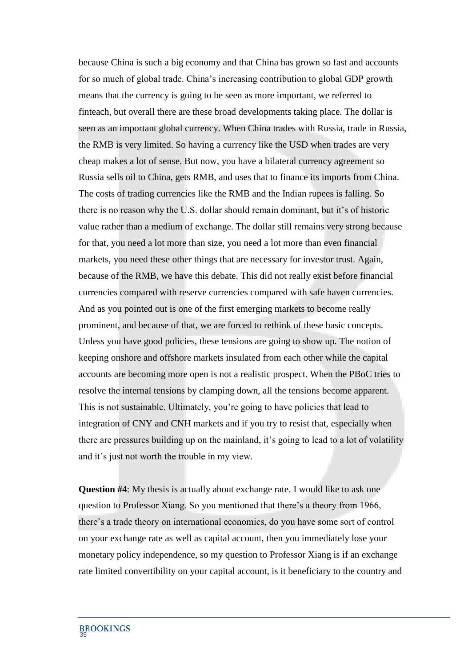because China is such a big economy and that China has grown so fast and accounts for so much of global trade. China's increasing contribution to global GDP growth means that the currency is going to be seen as more important, we referred to finteach, but overall there are these broad developments taking place. The dollar is seen as an important global currency. When China trades with Russia, trade in Russia, the RMB is very limited. So having a currency like the USD when trades are very cheap makes a lot of sense. But now, you have a bilateral currency agreement so Russia sells oil to China, gets RMB, and uses that to finance its imports from China. The costs of trading currencies like the RMB and the Indian rupees is falling. So there is no reason why the U.S. dollar should remain dominant, but it's of historic value rather than a medium of exchange. The dollar still remains very strong because for that, you need a lot more than size, you need a lot more than even financial markets, you need these other things that are necessary for investor trust. Again, because of the RMB, we have this debate. This did not really exist before financial currencies compared with reserve currencies compared with safe haven currencies. And as you pointed out is one of the first emerging markets to become really prominent, and because of that, we are forced to rethink of these basic concepts. Unless you have good policies, these tensions are going to show up. The notion of keeping onshore and offshore markets insulated from each other while the capital accounts are becoming more open is not a realistic prospect. When the PBoC tries to resolve the internal tensions by clamping down, all the tensions become apparent. This is not sustainable. Ultimately, you're going to have policies that lead to integration of CNY and CNH markets and if you try to resist that, especially when there are pressures building up on the mainland, it's going to lead to a lot of volatility and it's just not worth the trouble in my view.

**Question #4**: My thesis is actually about exchange rate. I would like to ask one question to Professor Xiang. So you mentioned that there's a theory from 1966, there's a trade theory on international economics, do you have some sort of control on your exchange rate as well as capital account, then you immediately lose your monetary policy independence, so my question to Professor Xiang is if an exchange rate limited convertibility on your capital account, is it beneficiary to the country and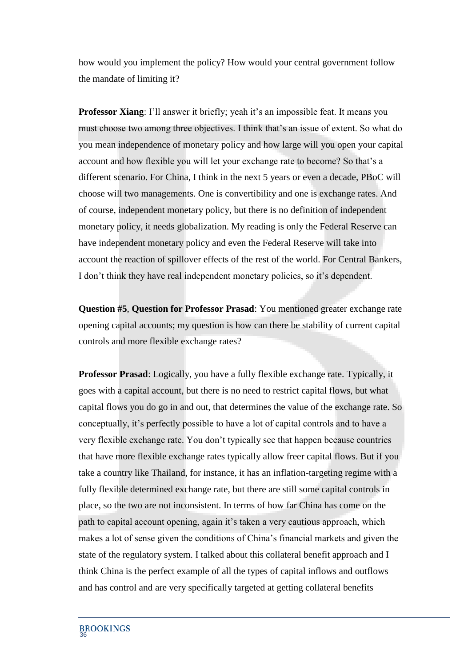how would you implement the policy? How would your central government follow the mandate of limiting it?

**Professor Xiang**: I'll answer it briefly; yeah it's an impossible feat. It means you must choose two among three objectives. I think that's an issue of extent. So what do you mean independence of monetary policy and how large will you open your capital account and how flexible you will let your exchange rate to become? So that's a different scenario. For China, I think in the next 5 years or even a decade, PBoC will choose will two managements. One is convertibility and one is exchange rates. And of course, independent monetary policy, but there is no definition of independent monetary policy, it needs globalization. My reading is only the Federal Reserve can have independent monetary policy and even the Federal Reserve will take into account the reaction of spillover effects of the rest of the world. For Central Bankers, I don't think they have real independent monetary policies, so it's dependent.

**Question #5**, **Question for Professor Prasad**: You mentioned greater exchange rate opening capital accounts; my question is how can there be stability of current capital controls and more flexible exchange rates?

**Professor Prasad**: Logically, you have a fully flexible exchange rate. Typically, it goes with a capital account, but there is no need to restrict capital flows, but what capital flows you do go in and out, that determines the value of the exchange rate. So conceptually, it's perfectly possible to have a lot of capital controls and to have a very flexible exchange rate. You don't typically see that happen because countries that have more flexible exchange rates typically allow freer capital flows. But if you take a country like Thailand, for instance, it has an inflation-targeting regime with a fully flexible determined exchange rate, but there are still some capital controls in place, so the two are not inconsistent. In terms of how far China has come on the path to capital account opening, again it's taken a very cautious approach, which makes a lot of sense given the conditions of China's financial markets and given the state of the regulatory system. I talked about this collateral benefit approach and I think China is the perfect example of all the types of capital inflows and outflows and has control and are very specifically targeted at getting collateral benefits